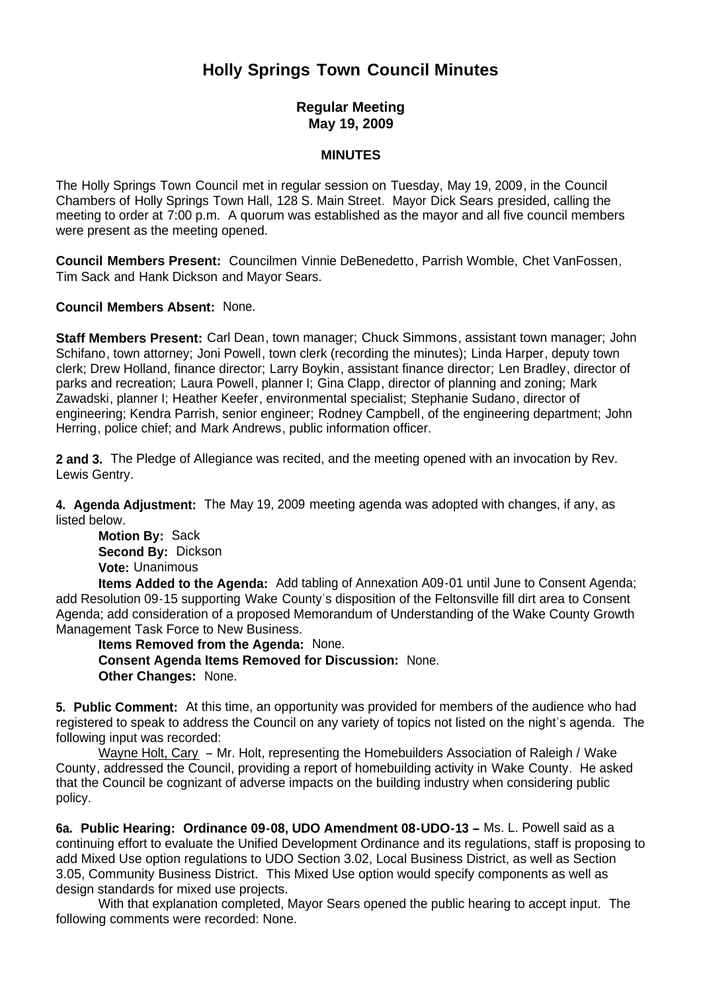# **Holly Springs Town Council Minutes**

# **Regular Meeting May 19, 2009**

## **MINUTES**

The Holly Springs Town Council met in regular session on Tuesday, May 19, 2009, in the Council Chambers of Holly Springs Town Hall, 128 S. Main Street. Mayor Dick Sears presided, calling the meeting to order at 7:00 p.m. A quorum was established as the mayor and all five council members were present as the meeting opened.

**Council Members Present:** Councilmen Vinnie DeBenedetto, Parrish Womble, Chet VanFossen, Tim Sack and Hank Dickson and Mayor Sears.

**Council Members Absent:** None.

**Staff Members Present:** Carl Dean, town manager; Chuck Simmons, assistant town manager; John Schifano, town attorney; Joni Powell, town clerk (recording the minutes); Linda Harper, deputy town clerk; Drew Holland, finance director; Larry Boykin, assistant finance director; Len Bradley, director of parks and recreation; Laura Powell, planner I; Gina Clapp, director of planning and zoning; Mark Zawadski, planner I; Heather Keefer, environmental specialist; Stephanie Sudano, director of engineering; Kendra Parrish, senior engineer; Rodney Campbell, of the engineering department; John Herring, police chief; and Mark Andrews, public information officer.

**2 and 3.** The Pledge of Allegiance was recited, and the meeting opened with an invocation by Rev. Lewis Gentry.

**4. Agenda Adjustment:** The May 19, 2009 meeting agenda was adopted with changes, if any, as listed below.

**Motion By: Sack Second By:** Dickson **Vote:** Unanimous

 **Items Added to the Agenda:** Add tabling of Annexation A09-01 until June to Consent Agenda; add Resolution 09-15 supporting Wake County's disposition of the Feltonsville fill dirt area to Consent Agenda; add consideration of a proposed Memorandum of Understanding of the Wake County Growth Management Task Force to New Business.

 **Items Removed from the Agenda:** None. **Consent Agenda Items Removed for Discussion:** None. **Other Changes:** None.

**5. Public Comment:** At this time, an opportunity was provided for members of the audience who had registered to speak to address the Council on any variety of topics not listed on the night's agenda. The following input was recorded:

Wayne Holt, Cary – Mr. Holt, representing the Homebuilders Association of Raleigh / Wake County, addressed the Council, providing a report of homebuilding activity in Wake County. He asked that the Council be cognizant of adverse impacts on the building industry when considering public policy.

**6a. Public Hearing: Ordinance 09-08, UDO Amendment 08-UDO-13 –** Ms. L. Powell said as a continuing effort to evaluate the Unified Development Ordinance and its regulations, staff is proposing to add Mixed Use option regulations to UDO Section 3.02, Local Business District, as well as Section 3.05, Community Business District. This Mixed Use option would specify components as well as design standards for mixed use projects.

With that explanation completed, Mayor Sears opened the public hearing to accept input. The following comments were recorded: None.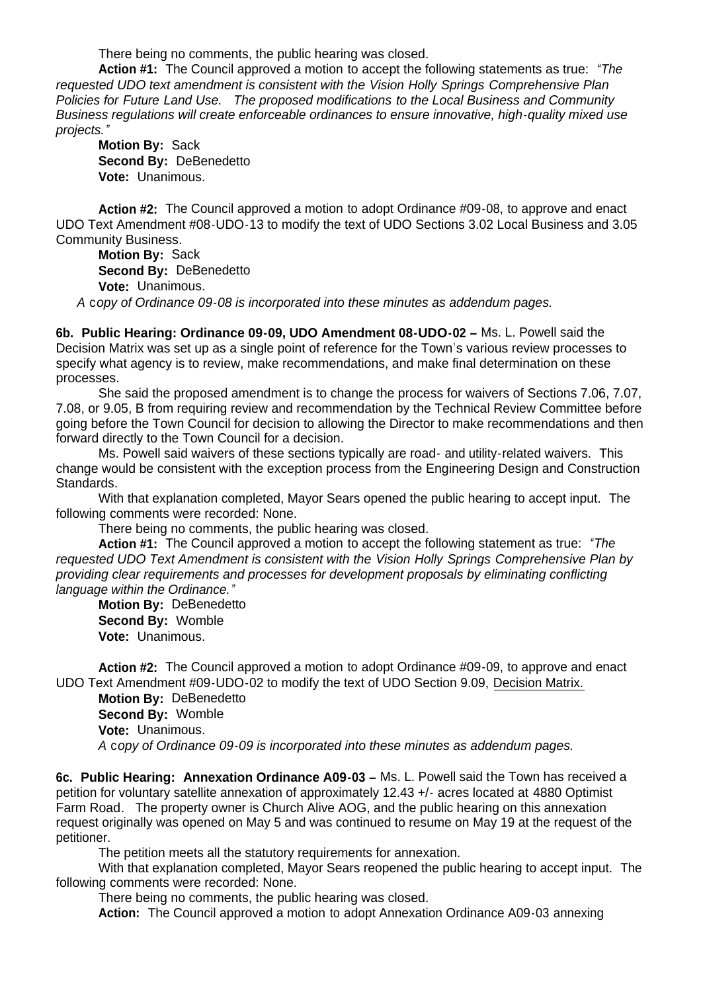There being no comments, the public hearing was closed.

**Action #1:** The Council approved a motion to accept the following statements as true: *"The requested UDO text amendment is consistent with the Vision Holly Springs Comprehensive Plan Policies for Future Land Use. The proposed modifications to the Local Business and Community Business regulations will create enforceable ordinances to ensure innovative, high-quality mixed use projects."*

**Motion By:** Sack **Second By:** DeBenedetto **Vote:** Unanimous.

**Action #2:** The Council approved a motion to adopt Ordinance #09-08, to approve and enact UDO Text Amendment #08-UDO-13 to modify the text of UDO Sections 3.02 Local Business and 3.05 Community Business.

**Motion By:** Sack **Second By:** DeBenedetto **Vote:** Unanimous.

*A* c*opy of Ordinance 09-08 is incorporated into these minutes as addendum pages.*

**6b. Public Hearing: Ordinance 09-09, UDO Amendment 08-UDO-02 –** Ms. L. Powell said the Decision Matrix was set up as a single point of reference for the Town's various review processes to specify what agency is to review, make recommendations, and make final determination on these processes.

 She said the proposed amendment is to change the process for waivers of Sections 7.06, 7.07, 7.08, or 9.05, B from requiring review and recommendation by the Technical Review Committee before going before the Town Council for decision to allowing the Director to make recommendations and then forward directly to the Town Council for a decision.

 Ms. Powell said waivers of these sections typically are road- and utility-related waivers. This change would be consistent with the exception process from the Engineering Design and Construction Standards.

With that explanation completed, Mayor Sears opened the public hearing to accept input. The following comments were recorded: None.

There being no comments, the public hearing was closed.

**Action #1:** The Council approved a motion to accept the following statement as true: *"The requested UDO Text Amendment is consistent with the Vision Holly Springs Comprehensive Plan by providing clear requirements and processes for development proposals by eliminating conflicting language within the Ordinance."*

**Motion By: DeBenedetto Second By:** Womble **Vote:** Unanimous.

**Action #2:** The Council approved a motion to adopt Ordinance #09-09, to approve and enact UDO Text Amendment #09-UDO-02 to modify the text of UDO Section 9.09, Decision Matrix.

**Motion By:** DeBenedetto **Second By:** Womble **Vote:** Unanimous. *A* c*opy of Ordinance 09-09 is incorporated into these minutes as addendum pages.*

**6c. Public Hearing: Annexation Ordinance A09-03 –** Ms. L. Powell said the Town has received a petition for voluntary satellite annexation of approximately 12.43 +/- acres located at 4880 Optimist Farm Road. The property owner is Church Alive AOG, and the public hearing on this annexation request originally was opened on May 5 and was continued to resume on May 19 at the request of the petitioner.

The petition meets all the statutory requirements for annexation.

 With that explanation completed, Mayor Sears reopened the public hearing to accept input. The following comments were recorded: None.

There being no comments, the public hearing was closed.

**Action:** The Council approved a motion to adopt Annexation Ordinance A09-03 annexing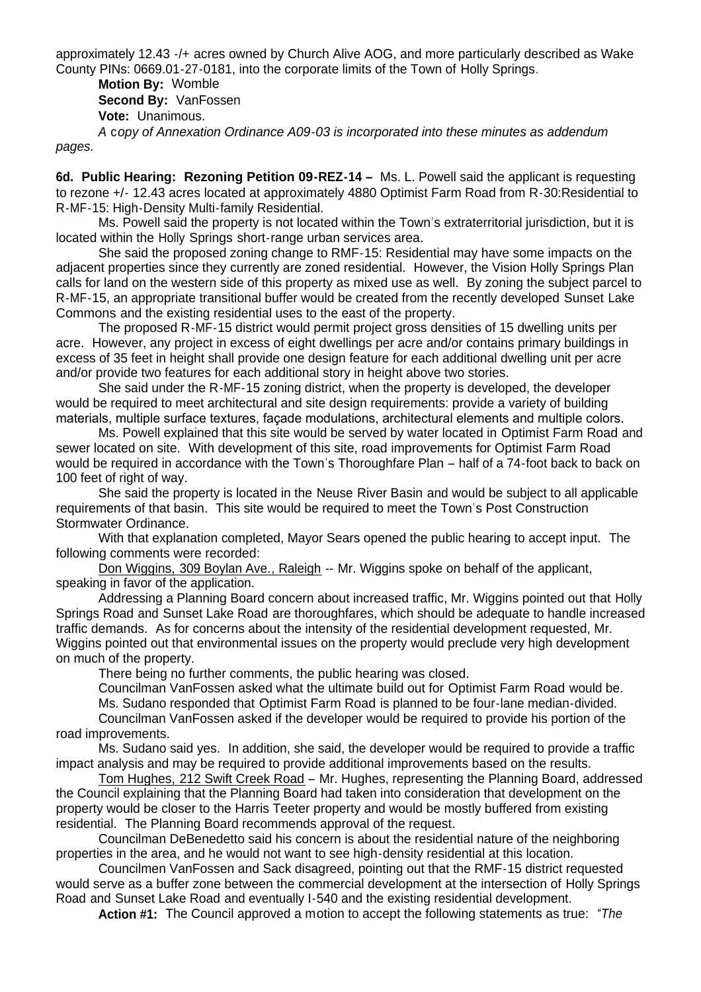approximately 12.43 -/+ acres owned by Church Alive AOG, and more particularly described as Wake County PINs: 0669.01-27-0181, into the corporate limits of the Town of Holly Springs.

**Motion By:** Womble **Second By:** VanFossen **Vote:** Unanimous.

*A* c*opy of Annexation Ordinance A09-03 is incorporated into these minutes as addendum pages.*

**6d. Public Hearing: Rezoning Petition 09-REZ-14 –** Ms. L. Powell said the applicant is requesting to rezone +/- 12.43 acres located at approximately 4880 Optimist Farm Road from R-30:Residential to R-MF-15: High-Density Multi-family Residential.

Ms. Powell said the property is not located within the Town's extraterritorial jurisdiction, but it is located within the Holly Springs short-range urban services area.

She said the proposed zoning change to RMF-15: Residential may have some impacts on the adjacent properties since they currently are zoned residential. However, the Vision Holly Springs Plan calls for land on the western side of this property as mixed use as well. By zoning the subject parcel to R-MF-15, an appropriate transitional buffer would be created from the recently developed Sunset Lake Commons and the existing residential uses to the east of the property.

The proposed R-MF-15 district would permit project gross densities of 15 dwelling units per acre. However, any project in excess of eight dwellings per acre and/or contains primary buildings in excess of 35 feet in height shall provide one design feature for each additional dwelling unit per acre and/or provide two features for each additional story in height above two stories.

She said under the R-MF-15 zoning district, when the property is developed, the developer would be required to meet architectural and site design requirements: provide a variety of building materials, multiple surface textures, façade modulations, architectural elements and multiple colors.

Ms. Powell explained that this site would be served by water located in Optimist Farm Road and sewer located on site. With development of this site, road improvements for Optimist Farm Road would be required in accordance with the Town's Thoroughfare Plan – half of a 74-foot back to back on 100 feet of right of way.

She said the property is located in the Neuse River Basin and would be subject to all applicable requirements of that basin. This site would be required to meet the Town's Post Construction Stormwater Ordinance.

With that explanation completed, Mayor Sears opened the public hearing to accept input. The following comments were recorded:

Don Wiggins, 309 Boylan Ave., Raleigh -- Mr. Wiggins spoke on behalf of the applicant, speaking in favor of the application.

Addressing a Planning Board concern about increased traffic, Mr. Wiggins pointed out that Holly Springs Road and Sunset Lake Road are thoroughfares, which should be adequate to handle increased traffic demands. As for concerns about the intensity of the residential development requested, Mr. Wiggins pointed out that environmental issues on the property would preclude very high development on much of the property.

There being no further comments, the public hearing was closed.

Councilman VanFossen asked what the ultimate build out for Optimist Farm Road would be. Ms. Sudano responded that Optimist Farm Road is planned to be four-lane median-divided.

Councilman VanFossen asked if the developer would be required to provide his portion of the road improvements.

Ms. Sudano said yes. In addition, she said, the developer would be required to provide a traffic impact analysis and may be required to provide additional improvements based on the results.

Tom Hughes, 212 Swift Creek Road – Mr. Hughes, representing the Planning Board, addressed the Council explaining that the Planning Board had taken into consideration that development on the property would be closer to the Harris Teeter property and would be mostly buffered from existing residential. The Planning Board recommends approval of the request.

Councilman DeBenedetto said his concern is about the residential nature of the neighboring properties in the area, and he would not want to see high-density residential at this location.

Councilmen VanFossen and Sack disagreed, pointing out that the RMF-15 district requested would serve as a buffer zone between the commercial development at the intersection of Holly Springs Road and Sunset Lake Road and eventually I-540 and the existing residential development.

**Action #1:** The Council approved a motion to accept the following statements as true: *"The*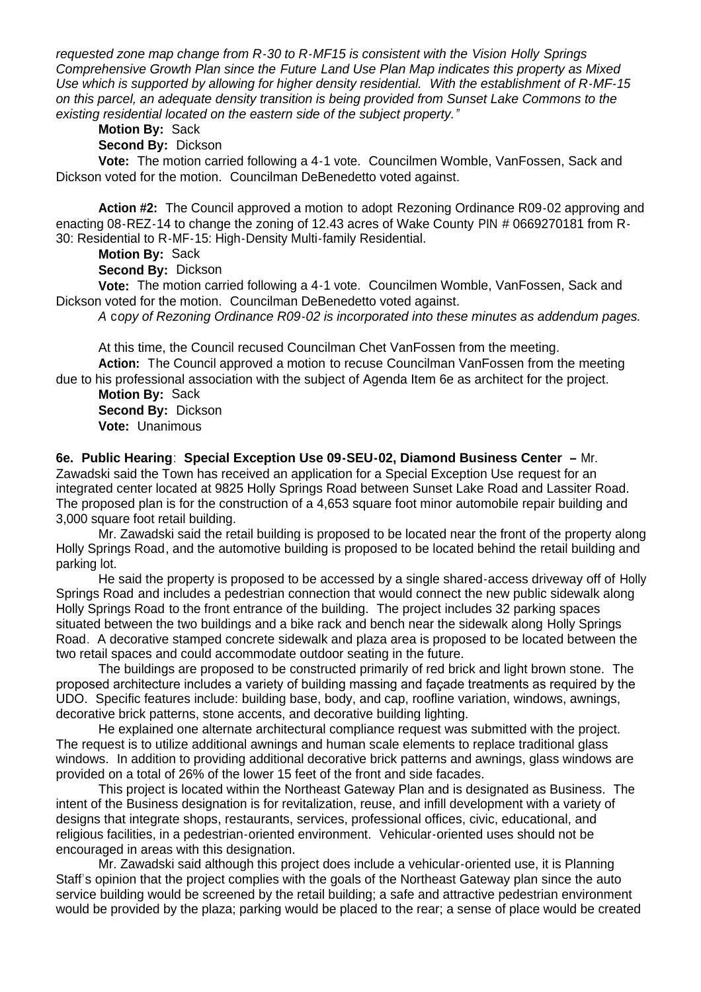*requested zone map change from R-30 to R-MF15 is consistent with the Vision Holly Springs Comprehensive Growth Plan since the Future Land Use Plan Map indicates this property as Mixed Use which is supported by allowing for higher density residential. With the establishment of R-MF-15 on this parcel, an adequate density transition is being provided from Sunset Lake Commons to the existing residential located on the eastern side of the subject property."*

**Motion By:** Sack

**Second By:** Dickson

 **Vote:** The motion carried following a 4-1 vote. Councilmen Womble, VanFossen, Sack and Dickson voted for the motion. Councilman DeBenedetto voted against.

**Action #2:** The Council approved a motion to adopt Rezoning Ordinance R09-02 approving and enacting 08-REZ-14 to change the zoning of 12.43 acres of Wake County PIN # 0669270181 from R-30: Residential to R-MF-15: High-Density Multi-family Residential.

**Motion By:** Sack

**Second By:** Dickson

 **Vote:** The motion carried following a 4-1 vote. Councilmen Womble, VanFossen, Sack and Dickson voted for the motion. Councilman DeBenedetto voted against.

*A* c*opy of Rezoning Ordinance R09-02 is incorporated into these minutes as addendum pages.*

At this time, the Council recused Councilman Chet VanFossen from the meeting. **Action:** The Council approved a motion to recuse Councilman VanFossen from the meeting due to his professional association with the subject of Agenda Item 6e as architect for the project.

**Motion By:** Sack **Second By:** Dickson **Vote:** Unanimous

**6e. Public Hearing**: **Special Exception Use 09-SEU-02, Diamond Business Center –** Mr. Zawadski said the Town has received an application for a Special Exception Use request for an integrated center located at 9825 Holly Springs Road between Sunset Lake Road and Lassiter Road. The proposed plan is for the construction of a 4,653 square foot minor automobile repair building and 3,000 square foot retail building.

Mr. Zawadski said the retail building is proposed to be located near the front of the property along Holly Springs Road, and the automotive building is proposed to be located behind the retail building and parking lot.

He said the property is proposed to be accessed by a single shared-access driveway off of Holly Springs Road and includes a pedestrian connection that would connect the new public sidewalk along Holly Springs Road to the front entrance of the building. The project includes 32 parking spaces situated between the two buildings and a bike rack and bench near the sidewalk along Holly Springs Road. A decorative stamped concrete sidewalk and plaza area is proposed to be located between the two retail spaces and could accommodate outdoor seating in the future.

 The buildings are proposed to be constructed primarily of red brick and light brown stone. The proposed architecture includes a variety of building massing and façade treatments as required by the UDO. Specific features include: building base, body, and cap, roofline variation, windows, awnings, decorative brick patterns, stone accents, and decorative building lighting.

He explained one alternate architectural compliance request was submitted with the project. The request is to utilize additional awnings and human scale elements to replace traditional glass windows. In addition to providing additional decorative brick patterns and awnings, glass windows are provided on a total of 26% of the lower 15 feet of the front and side facades.

This project is located within the Northeast Gateway Plan and is designated as Business. The intent of the Business designation is for revitalization, reuse, and infill development with a variety of designs that integrate shops, restaurants, services, professional offices, civic, educational, and religious facilities, in a pedestrian-oriented environment. Vehicular-oriented uses should not be encouraged in areas with this designation.

Mr. Zawadski said although this project does include a vehicular-oriented use, it is Planning Staff's opinion that the project complies with the goals of the Northeast Gateway plan since the auto service building would be screened by the retail building; a safe and attractive pedestrian environment would be provided by the plaza; parking would be placed to the rear; a sense of place would be created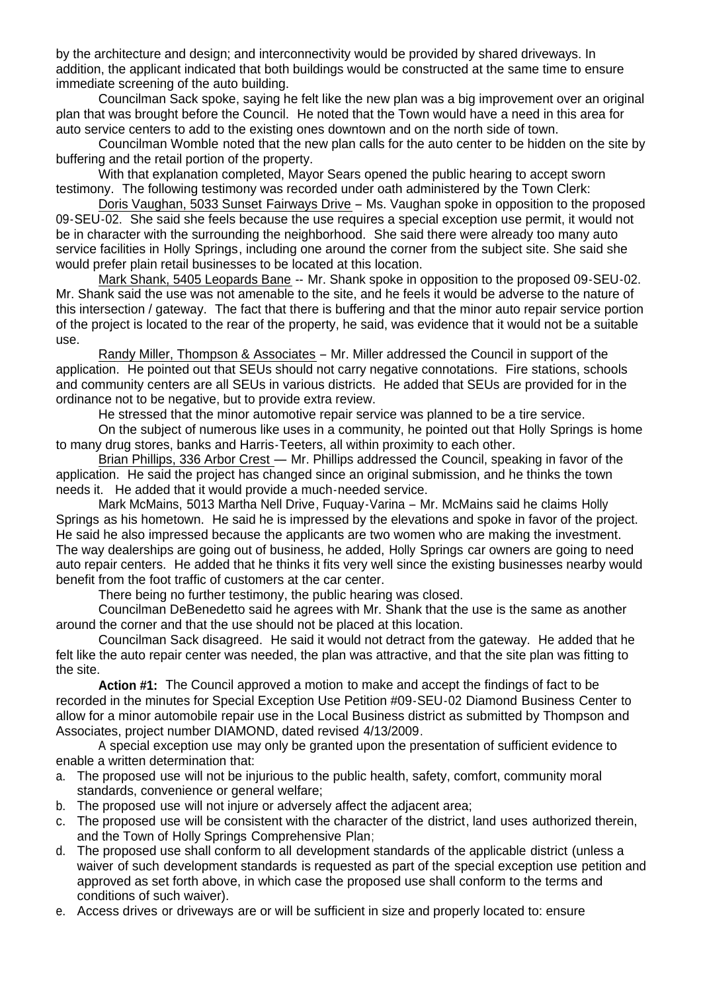by the architecture and design; and interconnectivity would be provided by shared driveways. In addition, the applicant indicated that both buildings would be constructed at the same time to ensure immediate screening of the auto building.

Councilman Sack spoke, saying he felt like the new plan was a big improvement over an original plan that was brought before the Council. He noted that the Town would have a need in this area for auto service centers to add to the existing ones downtown and on the north side of town.

Councilman Womble noted that the new plan calls for the auto center to be hidden on the site by buffering and the retail portion of the property.

With that explanation completed, Mayor Sears opened the public hearing to accept sworn testimony. The following testimony was recorded under oath administered by the Town Clerk:

Doris Vaughan, 5033 Sunset Fairways Drive – Ms. Vaughan spoke in opposition to the proposed 09-SEU-02. She said she feels because the use requires a special exception use permit, it would not be in character with the surrounding the neighborhood. She said there were already too many auto service facilities in Holly Springs, including one around the corner from the subject site. She said she would prefer plain retail businesses to be located at this location.

Mark Shank, 5405 Leopards Bane -- Mr. Shank spoke in opposition to the proposed 09-SEU-02. Mr. Shank said the use was not amenable to the site, and he feels it would be adverse to the nature of this intersection / gateway. The fact that there is buffering and that the minor auto repair service portion of the project is located to the rear of the property, he said, was evidence that it would not be a suitable use.

Randy Miller, Thompson & Associates – Mr. Miller addressed the Council in support of the application. He pointed out that SEUs should not carry negative connotations. Fire stations, schools and community centers are all SEUs in various districts. He added that SEUs are provided for in the ordinance not to be negative, but to provide extra review.

He stressed that the minor automotive repair service was planned to be a tire service.

On the subject of numerous like uses in a community, he pointed out that Holly Springs is home to many drug stores, banks and Harris-Teeters, all within proximity to each other.

Brian Phillips, 336 Arbor Crest — Mr. Phillips addressed the Council, speaking in favor of the application. He said the project has changed since an original submission, and he thinks the town needs it. He added that it would provide a much-needed service.

Mark McMains, 5013 Martha Nell Drive, Fuquay-Varina – Mr. McMains said he claims Holly Springs as his hometown. He said he is impressed by the elevations and spoke in favor of the project. He said he also impressed because the applicants are two women who are making the investment. The way dealerships are going out of business, he added, Holly Springs car owners are going to need auto repair centers. He added that he thinks it fits very well since the existing businesses nearby would benefit from the foot traffic of customers at the car center.

There being no further testimony, the public hearing was closed.

Councilman DeBenedetto said he agrees with Mr. Shank that the use is the same as another around the corner and that the use should not be placed at this location.

Councilman Sack disagreed. He said it would not detract from the gateway. He added that he felt like the auto repair center was needed, the plan was attractive, and that the site plan was fitting to the site.

**Action #1:** The Council approved a motion to make and accept the findings of fact to be recorded in the minutes for Special Exception Use Petition #09-SEU-02 Diamond Business Center to allow for a minor automobile repair use in the Local Business district as submitted by Thompson and Associates, project number DIAMOND, dated revised 4/13/2009.

 A special exception use may only be granted upon the presentation of sufficient evidence to enable a written determination that:

- a. The proposed use will not be injurious to the public health, safety, comfort, community moral standards, convenience or general welfare;
- b. The proposed use will not injure or adversely affect the adjacent area;
- c. The proposed use will be consistent with the character of the district, land uses authorized therein, and the Town of Holly Springs Comprehensive Plan;
- d. The proposed use shall conform to all development standards of the applicable district (unless a waiver of such development standards is requested as part of the special exception use petition and approved as set forth above, in which case the proposed use shall conform to the terms and conditions of such waiver).
- e. Access drives or driveways are or will be sufficient in size and properly located to: ensure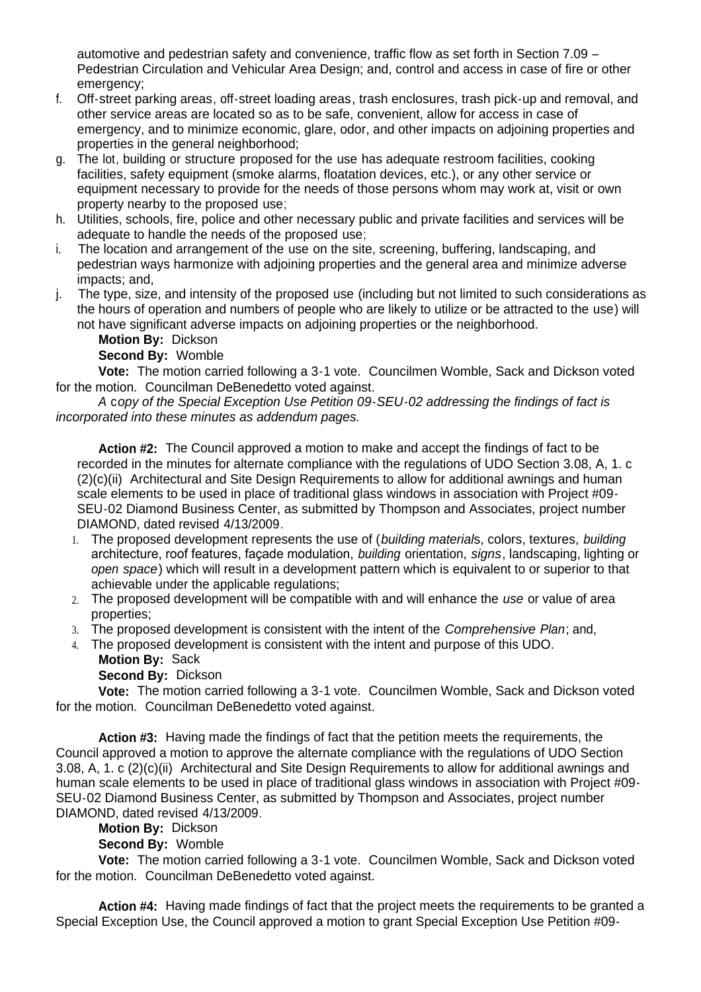automotive and pedestrian safety and convenience, traffic flow as set forth in Section 7.09 – Pedestrian Circulation and Vehicular Area Design; and, control and access in case of fire or other emergency;

- f. Off-street parking areas, off-street loading areas, trash enclosures, trash pick-up and removal, and other service areas are located so as to be safe, convenient, allow for access in case of emergency, and to minimize economic, glare, odor, and other impacts on adjoining properties and properties in the general neighborhood;
- g. The lot, building or structure proposed for the use has adequate restroom facilities, cooking facilities, safety equipment (smoke alarms, floatation devices, etc.), or any other service or equipment necessary to provide for the needs of those persons whom may work at, visit or own property nearby to the proposed use;
- h. Utilities, schools, fire, police and other necessary public and private facilities and services will be adequate to handle the needs of the proposed use;
- i. The location and arrangement of the use on the site, screening, buffering, landscaping, and pedestrian ways harmonize with adjoining properties and the general area and minimize adverse impacts; and,
- j. The type, size, and intensity of the proposed use (including but not limited to such considerations as the hours of operation and numbers of people who are likely to utilize or be attracted to the use) will not have significant adverse impacts on adjoining properties or the neighborhood.

**Motion By:** Dickson

**Second By:** Womble

**Vote:** The motion carried following a 3-1 vote. Councilmen Womble, Sack and Dickson voted for the motion. Councilman DeBenedetto voted against.

*A* c*opy of the Special Exception Use Petition 09-SEU-02 addressing the findings of fact is incorporated into these minutes as addendum pages.*

**Action #2:** The Council approved a motion to make and accept the findings of fact to be recorded in the minutes for alternate compliance with the regulations of UDO Section 3.08, A, 1. c (2)(c)(ii) Architectural and Site Design Requirements to allow for additional awnings and human scale elements to be used in place of traditional glass windows in association with Project #09- SEU-02 Diamond Business Center, as submitted by Thompson and Associates, project number DIAMOND, dated revised 4/13/2009.

- 1. The proposed development represents the use of (*building material*s, colors, textures, *building* architecture, roof features, façade modulation, *building* orientation, *signs*, landscaping, lighting or *open space*) which will result in a development pattern which is equivalent to or superior to that achievable under the applicable regulations;
- 2. The proposed development will be compatible with and will enhance the *use* or value of area properties;
- 3. The proposed development is consistent with the intent of the *Comprehensive Plan*; and,
- 4. The proposed development is consistent with the intent and purpose of this UDO.

**Motion By:** Sack

**Second By:** Dickson

**Vote:** The motion carried following a 3-1 vote. Councilmen Womble, Sack and Dickson voted for the motion. Councilman DeBenedetto voted against.

**Action #3:** Having made the findings of fact that the petition meets the requirements, the Council approved a motion to approve the alternate compliance with the regulations of UDO Section 3.08, A, 1. c (2)(c)(ii) Architectural and Site Design Requirements to allow for additional awnings and human scale elements to be used in place of traditional glass windows in association with Project #09- SEU-02 Diamond Business Center, as submitted by Thompson and Associates, project number DIAMOND, dated revised 4/13/2009.

**Motion By:** Dickson

**Second By:** Womble

 **Vote:** The motion carried following a 3-1 vote. Councilmen Womble, Sack and Dickson voted for the motion. Councilman DeBenedetto voted against.

**Action #4:** Having made findings of fact that the project meets the requirements to be granted a Special Exception Use, the Council approved a motion to grant Special Exception Use Petition #09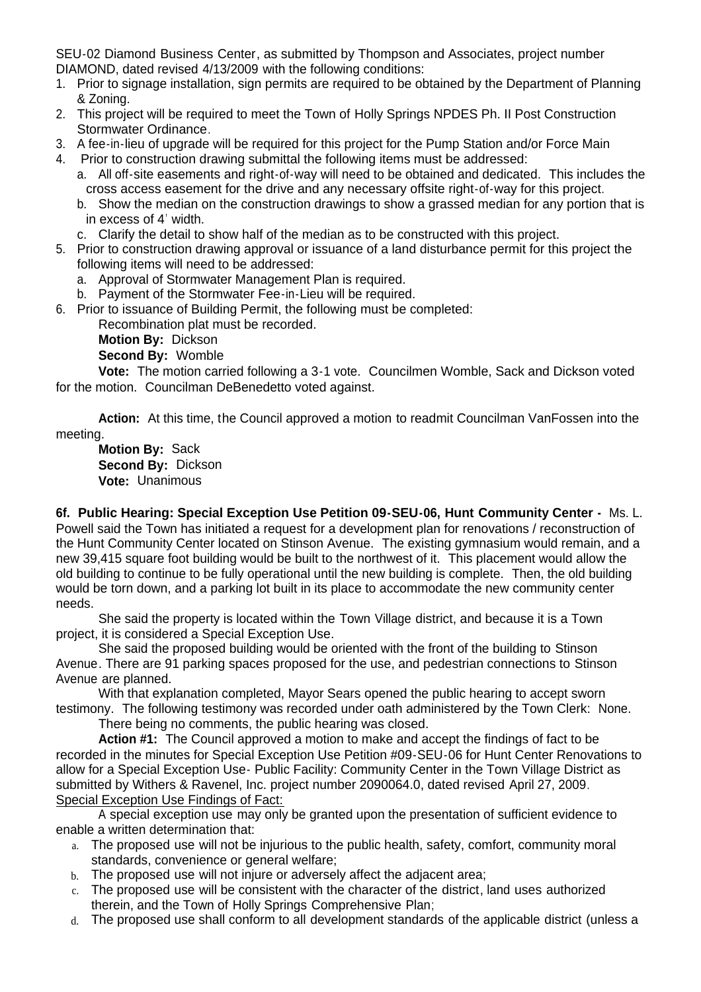SEU-02 Diamond Business Center, as submitted by Thompson and Associates, project number DIAMOND, dated revised 4/13/2009 with the following conditions:

- 1. Prior to signage installation, sign permits are required to be obtained by the Department of Planning & Zoning.
- 2. This project will be required to meet the Town of Holly Springs NPDES Ph. II Post Construction Stormwater Ordinance.
- 3. A fee-in-lieu of upgrade will be required for this project for the Pump Station and/or Force Main
- 4. Prior to construction drawing submittal the following items must be addressed:
	- a. All off-site easements and right-of-way will need to be obtained and dedicated. This includes the cross access easement for the drive and any necessary offsite right-of-way for this project*.*
	- b. Show the median on the construction drawings to show a grassed median for any portion that is in excess of 4' width.
	- c. Clarify the detail to show half of the median as to be constructed with this project.
- 5. Prior to construction drawing approval or issuance of a land disturbance permit for this project the following items will need to be addressed:
	- a. Approval of Stormwater Management Plan is required.
	- b. Payment of the Stormwater Fee-in-Lieu will be required.
- 6. Prior to issuance of Building Permit, the following must be completed:

Recombination plat must be recorded.

**Motion By:** Dickson

**Second By:** Womble

**Vote:** The motion carried following a 3-1 vote. Councilmen Womble, Sack and Dickson voted for the motion. Councilman DeBenedetto voted against.

**Action:** At this time, the Council approved a motion to readmit Councilman VanFossen into the meeting.

**Motion By:** Sack **Second By:** Dickson **Vote:** Unanimous

**6f. Public Hearing: Special Exception Use Petition 09-SEU-06, Hunt Community Center -** Ms. L. Powell said the Town has initiated a request for a development plan for renovations / reconstruction of the Hunt Community Center located on Stinson Avenue. The existing gymnasium would remain, and a new 39,415 square foot building would be built to the northwest of it. This placement would allow the old building to continue to be fully operational until the new building is complete. Then, the old building would be torn down, and a parking lot built in its place to accommodate the new community center needs.

 She said the property is located within the Town Village district, and because it is a Town project, it is considered a Special Exception Use.

 She said the proposed building would be oriented with the front of the building to Stinson Avenue. There are 91 parking spaces proposed for the use, and pedestrian connections to Stinson Avenue are planned.

With that explanation completed, Mayor Sears opened the public hearing to accept sworn testimony. The following testimony was recorded under oath administered by the Town Clerk: None.

There being no comments, the public hearing was closed.

**Action #1:** The Council approved a motion to make and accept the findings of fact to be recorded in the minutes for Special Exception Use Petition #09-SEU-06 for Hunt Center Renovations to allow for a Special Exception Use- Public Facility: Community Center in the Town Village District as submitted by Withers & Ravenel, Inc. project number 2090064.0, dated revised April 27, 2009. Special Exception Use Findings of Fact:

 A special exception use may only be granted upon the presentation of sufficient evidence to enable a written determination that:

- a. The proposed use will not be injurious to the public health, safety, comfort, community moral standards, convenience or general welfare;
- b. The proposed use will not injure or adversely affect the adjacent area;
- c. The proposed use will be consistent with the character of the district, land uses authorized therein, and the Town of Holly Springs Comprehensive Plan;
- d. The proposed use shall conform to all development standards of the applicable district (unless a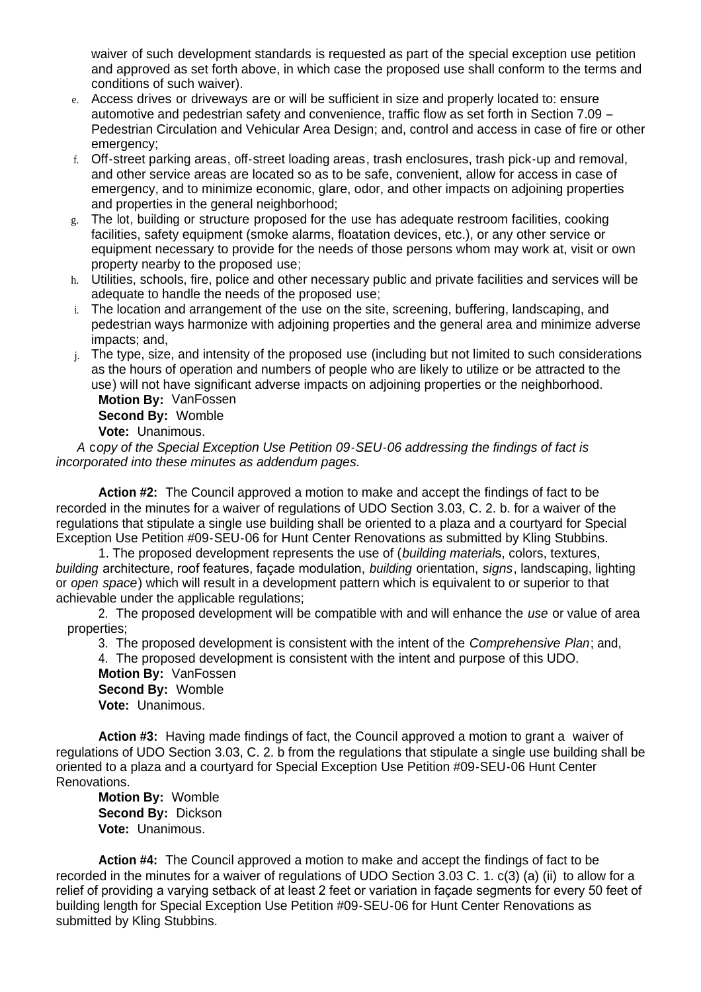waiver of such development standards is requested as part of the special exception use petition and approved as set forth above, in which case the proposed use shall conform to the terms and conditions of such waiver).

- e. Access drives or driveways are or will be sufficient in size and properly located to: ensure automotive and pedestrian safety and convenience, traffic flow as set forth in Section 7.09 – Pedestrian Circulation and Vehicular Area Design; and, control and access in case of fire or other emergency:
- f. Off-street parking areas, off-street loading areas, trash enclosures, trash pick-up and removal, and other service areas are located so as to be safe, convenient, allow for access in case of emergency, and to minimize economic, glare, odor, and other impacts on adjoining properties and properties in the general neighborhood;
- g. The lot, building or structure proposed for the use has adequate restroom facilities, cooking facilities, safety equipment (smoke alarms, floatation devices, etc.), or any other service or equipment necessary to provide for the needs of those persons whom may work at, visit or own property nearby to the proposed use;
- h. Utilities, schools, fire, police and other necessary public and private facilities and services will be adequate to handle the needs of the proposed use;
- i. The location and arrangement of the use on the site, screening, buffering, landscaping, and pedestrian ways harmonize with adjoining properties and the general area and minimize adverse impacts; and,
- j. The type, size, and intensity of the proposed use (including but not limited to such considerations as the hours of operation and numbers of people who are likely to utilize or be attracted to the use) will not have significant adverse impacts on adjoining properties or the neighborhood. **Motion By:** VanFossen

**Second By:** Womble **Vote:** Unanimous.

*A* c*opy of the Special Exception Use Petition 09-SEU-06 addressing the findings of fact is incorporated into these minutes as addendum pages.*

**Action #2:** The Council approved a motion to make and accept the findings of fact to be recorded in the minutes for a waiver of regulations of UDO Section 3.03, C. 2. b. for a waiver of the regulations that stipulate a single use building shall be oriented to a plaza and a courtyard for Special Exception Use Petition #09-SEU-06 for Hunt Center Renovations as submitted by Kling Stubbins.

1. The proposed development represents the use of (*building material*s, colors, textures, *building* architecture, roof features, façade modulation, *building* orientation, *signs*, landscaping, lighting or *open space*) which will result in a development pattern which is equivalent to or superior to that achievable under the applicable regulations;

2. The proposed development will be compatible with and will enhance the *use* or value of area properties;

3. The proposed development is consistent with the intent of the *Comprehensive Plan*; and,

4. The proposed development is consistent with the intent and purpose of this UDO. **Motion By:** VanFossen

**Second By:** Womble **Vote:** Unanimous.

**Action #3:** Having made findings of fact, the Council approved a motion to grant a waiver of regulations of UDO Section 3.03, C. 2. b from the regulations that stipulate a single use building shall be oriented to a plaza and a courtyard for Special Exception Use Petition #09-SEU-06 Hunt Center Renovations.

**Motion By:** Womble **Second By:** Dickson **Vote:** Unanimous.

**Action #4:** The Council approved a motion to make and accept the findings of fact to be recorded in the minutes for a waiver of regulations of UDO Section 3.03 C. 1. c(3) (a) (ii)to allow for a relief of providing a varying setback of at least 2 feet or variation in façade segments for every 50 feet of building length for Special Exception Use Petition #09-SEU-06 for Hunt Center Renovations as submitted by Kling Stubbins**.**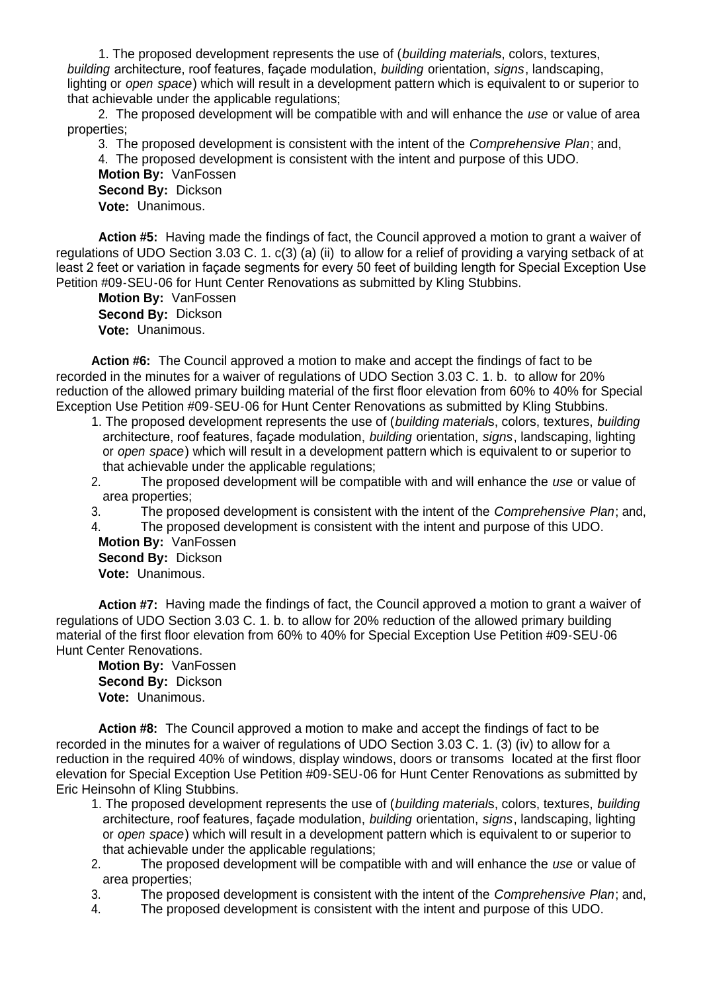1. The proposed development represents the use of (*building material*s, colors, textures, *building* architecture, roof features, façade modulation, *building* orientation, *signs*, landscaping, lighting or *open space*) which will result in a development pattern which is equivalent to or superior to that achievable under the applicable regulations;

2. The proposed development will be compatible with and will enhance the *use* or value of area properties;

3. The proposed development is consistent with the intent of the *Comprehensive Plan*; and,

4. The proposed development is consistent with the intent and purpose of this UDO.

**Motion By:** VanFossen **Second By:** Dickson **Vote:** Unanimous.

**Action #5:** Having made the findings of fact, the Council approved a motion to grant a waiver of regulations of UDO Section 3.03 C. 1. c(3) (a) (ii)to allow for a relief of providing a varying setback of at least 2 feet or variation in façade segments for every 50 feet of building length for Special Exception Use Petition #09-SEU-06 for Hunt Center Renovations as submitted by Kling Stubbins**.**

**Motion By:** VanFossen **Second By:** Dickson **Vote:** Unanimous.

**Action #6:** The Council approved a motion to make and accept the findings of fact to be recorded in the minutes for a waiver of regulations of UDO Section 3.03 C. 1. b. to allow for 20% reduction of the allowed primary building material of the first floor elevation from 60% to 40% for Special Exception Use Petition #09-SEU-06 for Hunt Center Renovations as submitted by Kling Stubbins.

- 1. The proposed development represents the use of (*building material*s, colors, textures, *building* architecture, roof features, façade modulation, *building* orientation, *signs*, landscaping, lighting or *open space*) which will result in a development pattern which is equivalent to or superior to that achievable under the applicable regulations;
- 2. The proposed development will be compatible with and will enhance the *use* or value of area properties;
- 3. The proposed development is consistent with the intent of the *Comprehensive Plan*; and,
- 4. The proposed development is consistent with the intent and purpose of this UDO.

**Motion By:** VanFossen **Second By:** Dickson **Vote:** Unanimous.

**Action #7:** Having made the findings of fact, the Council approved a motion to grant a waiver of regulations of UDO Section 3.03 C. 1. b. to allow for 20% reduction of the allowed primary building material of the first floor elevation from 60% to 40% for Special Exception Use Petition #09-SEU-06 Hunt Center Renovations.

**Motion By:** VanFossen **Second By:** Dickson **Vote:** Unanimous.

**Action #8:** The Council approved a motion to make and accept the findings of fact to be recorded in the minutes for a waiver of regulations of UDO Section 3.03 C. 1. (3) (iv) to allow for a reduction in the required 40% of windows, display windows, doors or transoms located at the first floor elevation for Special Exception Use Petition #09-SEU-06 for Hunt Center Renovations as submitted by Eric Heinsohn of Kling Stubbins.

- 1. The proposed development represents the use of (*building material*s, colors, textures, *building* architecture, roof features, façade modulation, *building* orientation, *signs*, landscaping, lighting or *open space*) which will result in a development pattern which is equivalent to or superior to that achievable under the applicable regulations;
- 2. The proposed development will be compatible with and will enhance the *use* or value of area properties;
- 3. The proposed development is consistent with the intent of the *Comprehensive Plan*; and,
- 4. The proposed development is consistent with the intent and purpose of this UDO.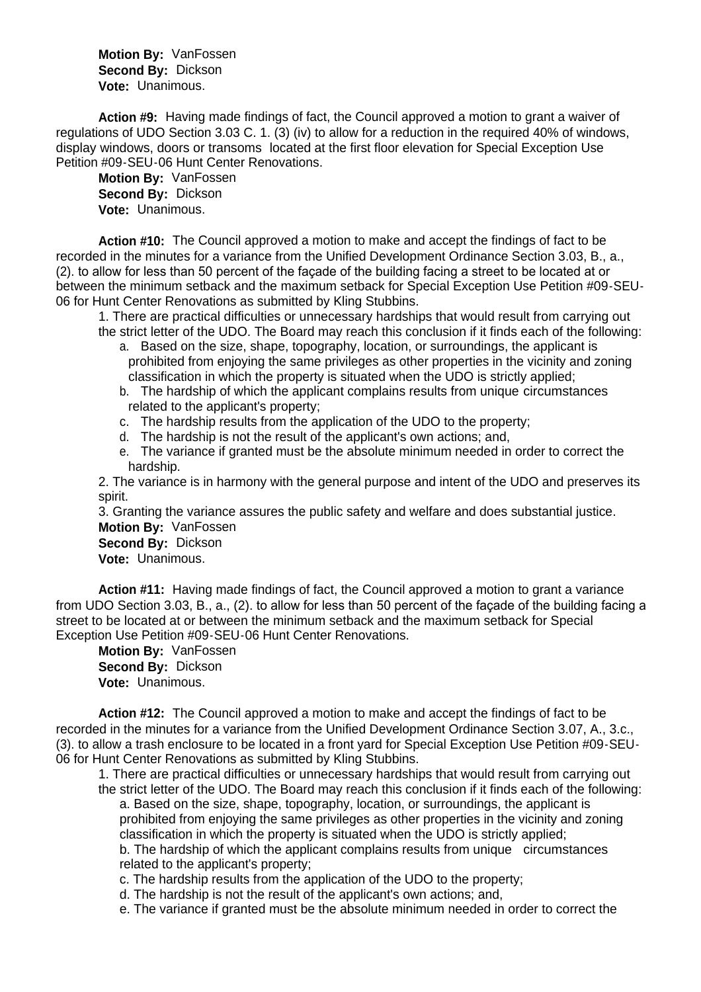**Motion By:** VanFossen **Second By:** Dickson **Vote:** Unanimous.

**Action #9:** Having made findings of fact, the Council approved a motion to grant a waiver of regulations of UDO Section 3.03 C. 1. (3) (iv) to allow for a reduction in the required 40% of windows, display windows, doors or transoms located at the first floor elevation for Special Exception Use Petition #09-SEU-06 Hunt Center Renovations.

**Motion By:** VanFossen **Second By:** Dickson **Vote:** Unanimous.

**Action #10:** The Council approved a motion to make and accept the findings of fact to be recorded in the minutes for a variance from the Unified Development Ordinance Section 3.03, B., a., (2). to allow for less than 50 percent of the façade of the building facing a street to be located at or between the minimum setback and the maximum setback for Special Exception Use Petition #09-SEU-06 for Hunt Center Renovations as submitted by Kling Stubbins.

1. There are practical difficulties or unnecessary hardships that would result from carrying out the strict letter of the UDO. The Board may reach this conclusion if it finds each of the following:

- a. Based on the size, shape, topography, location, or surroundings, the applicant is prohibited from enjoying the same privileges as other properties in the vicinity and zoning classification in which the property is situated when the UDO is strictly applied;
- b. The hardship of which the applicant complains results from unique circumstances related to the applicant's property;
- c. The hardship results from the application of the UDO to the property;
- d. The hardship is not the result of the applicant's own actions; and,
- e. The variance if granted must be the absolute minimum needed in order to correct the hardship.

2. The variance is in harmony with the general purpose and intent of the UDO and preserves its spirit.

3. Granting the variance assures the public safety and welfare and does substantial justice. **Motion By:** VanFossen

**Second By:** Dickson **Vote:** Unanimous.

**Action #11:** Having made findings of fact, the Council approved a motion to grant a variance from UDO Section 3.03, B., a., (2). to allow for less than 50 percent of the façade of the building facing a street to be located at or between the minimum setback and the maximum setback for Special Exception Use Petition #09-SEU-06 Hunt Center Renovations.

**Motion By:** VanFossen **Second By:** Dickson **Vote:** Unanimous.

**Action #12:** The Council approved a motion to make and accept the findings of fact to be recorded in the minutes for a variance from the Unified Development Ordinance Section 3.07, A., 3.c., (3). to allow a trash enclosure to be located in a front yard for Special Exception Use Petition #09-SEU-06 for Hunt Center Renovations as submitted by Kling Stubbins.

1. There are practical difficulties or unnecessary hardships that would result from carrying out the strict letter of the UDO. The Board may reach this conclusion if it finds each of the following: a. Based on the size, shape, topography, location, or surroundings, the applicant is prohibited from enjoying the same privileges as other properties in the vicinity and zoning

classification in which the property is situated when the UDO is strictly applied;

b. The hardship of which the applicant complains results from unique circumstances related to the applicant's property;

c. The hardship results from the application of the UDO to the property;

d. The hardship is not the result of the applicant's own actions; and,

e. The variance if granted must be the absolute minimum needed in order to correct the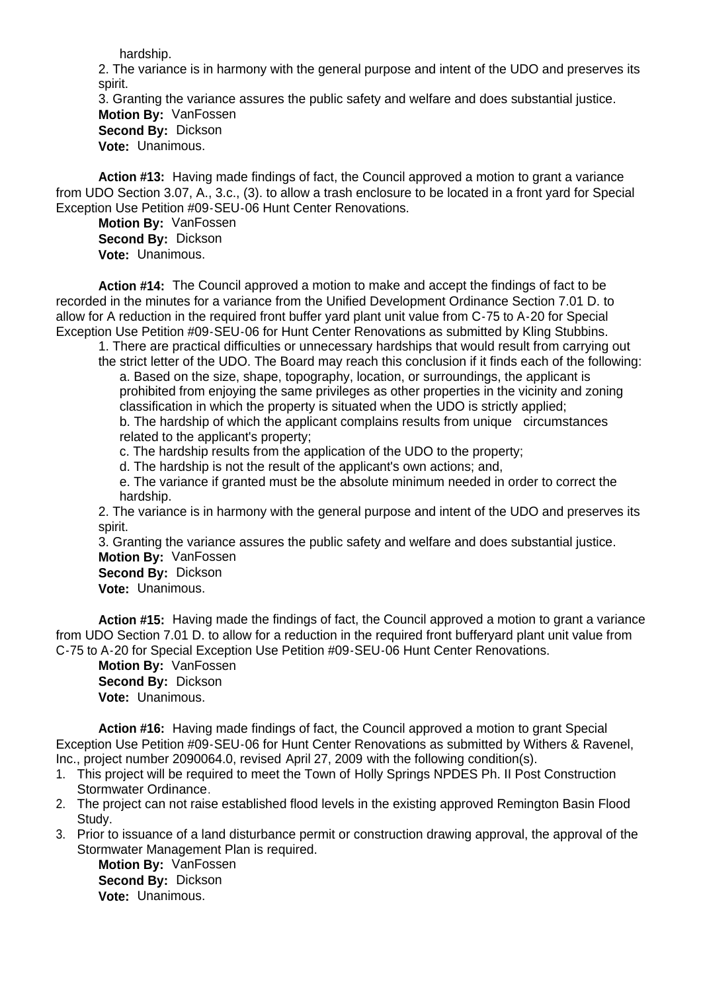hardship.

2. The variance is in harmony with the general purpose and intent of the UDO and preserves its spirit.

3. Granting the variance assures the public safety and welfare and does substantial justice. **Motion By:** VanFossen **Second By:** Dickson

**Vote:** Unanimous.

**Action #13:** Having made findings of fact, the Council approved a motion to grant a variance from UDO Section 3.07, A., 3.c., (3). to allow a trash enclosure to be located in a front yard for Special Exception Use Petition #09-SEU-06 Hunt Center Renovations.

**Motion By:** VanFossen **Second By:** Dickson **Vote:** Unanimous.

**Action #14:** The Council approved a motion to make and accept the findings of fact to be recorded in the minutes for a variance from the Unified Development Ordinance Section 7.01 D. to allow for A reduction in the required front buffer yard plant unit value from C-75 to A-20 for Special Exception Use Petition #09-SEU-06 for Hunt Center Renovations as submitted by Kling Stubbins.

1. There are practical difficulties or unnecessary hardships that would result from carrying out the strict letter of the UDO. The Board may reach this conclusion if it finds each of the following: a. Based on the size, shape, topography, location, or surroundings, the applicant is

prohibited from enjoying the same privileges as other properties in the vicinity and zoning classification in which the property is situated when the UDO is strictly applied;

b. The hardship of which the applicant complains results from unique circumstances related to the applicant's property;

c. The hardship results from the application of the UDO to the property;

d. The hardship is not the result of the applicant's own actions; and,

e. The variance if granted must be the absolute minimum needed in order to correct the hardship.

2. The variance is in harmony with the general purpose and intent of the UDO and preserves its spirit.

3. Granting the variance assures the public safety and welfare and does substantial justice. **Motion By:** VanFossen

**Second By:** Dickson **Vote:** Unanimous.

**Action #15:** Having made the findings of fact, the Council approved a motion to grant a variance from UDO Section 7.01 D. to allow for a reduction in the required front bufferyard plant unit value from C-75 to A-20 for Special Exception Use Petition #09-SEU-06 Hunt Center Renovations.

**Motion By:** VanFossen **Second By:** Dickson **Vote:** Unanimous.

**Action #16:** Having made findings of fact, the Council approved a motion to grant Special Exception Use Petition #09-SEU-06 for Hunt Center Renovations as submitted by Withers & Ravenel, Inc., project number 2090064.0, revised April 27, 2009 with the following condition(s).

- 1. This project will be required to meet the Town of Holly Springs NPDES Ph. II Post Construction Stormwater Ordinance.
- 2. The project can not raise established flood levels in the existing approved Remington Basin Flood Study.
- 3. Prior to issuance of a land disturbance permit or construction drawing approval, the approval of the Stormwater Management Plan is required.

**Motion By:** VanFossen **Second By:** Dickson **Vote:** Unanimous.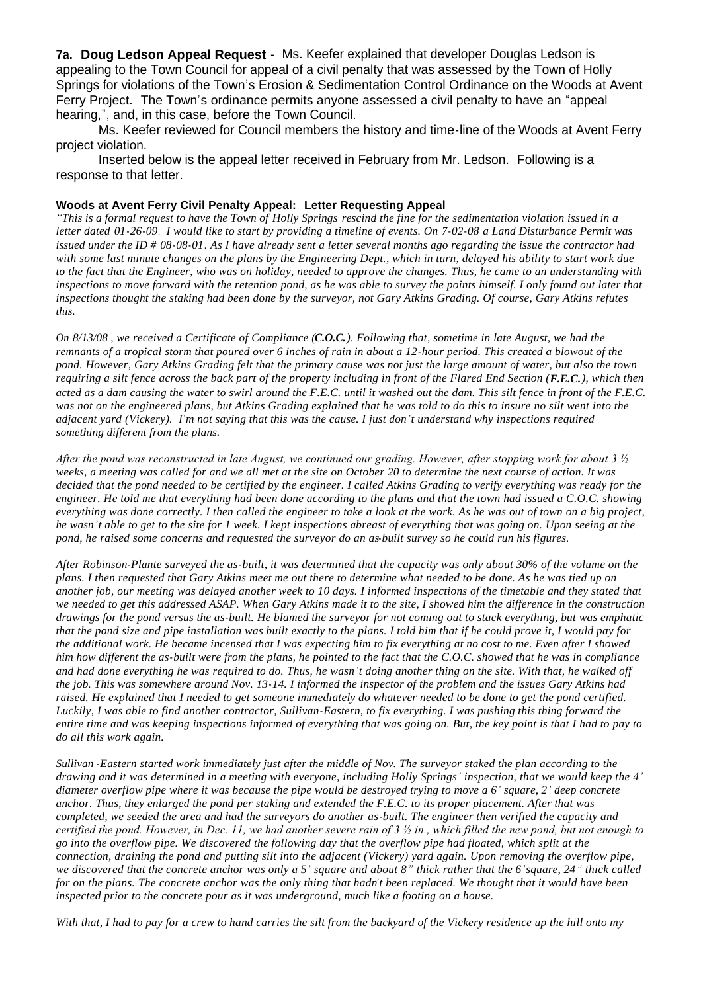**7a. Doug Ledson Appeal Request -** Ms. Keefer explained that developer Douglas Ledson is appealing to the Town Council for appeal of a civil penalty that was assessed by the Town of Holly Springs for violations of the Town's Erosion & Sedimentation Control Ordinance on the Woods at Avent Ferry Project. The Town's ordinance permits anyone assessed a civil penalty to have an "appeal hearing,", and, in this case, before the Town Council.

 Ms. Keefer reviewed for Council members the history and time-line of the Woods at Avent Ferry project violation.

 Inserted below is the appeal letter received in February from Mr. Ledson. Following is a response to that letter.

#### **Woods at Avent Ferry Civil Penalty Appeal: Letter Requesting Appeal**

*"This is a formal request to have the Town of Holly Springs rescind the fine for the sedimentation violation issued in a letter dated 01-26-09. I would like to start by providing a timeline of events. On 7-02-08 a Land Disturbance Permit was issued under the ID # 08-08-01. As I have already sent a letter several months ago regarding the issue the contractor had with some last minute changes on the plans by the Engineering Dept., which in turn, delayed his ability to start work due to the fact that the Engineer, who was on holiday, needed to approve the changes. Thus, he came to an understanding with inspections to move forward with the retention pond, as he was able to survey the points himself. I only found out later that inspections thought the staking had been done by the surveyor, not Gary Atkins Grading. Of course, Gary Atkins refutes this.*

*On 8/13/08 , we received a Certificate of Compliance (C.O.C.). Following that, sometime in late August, we had the remnants of a tropical storm that poured over 6 inches of rain in about a 12-hour period. This created a blowout of the pond. However, Gary Atkins Grading felt that the primary cause was not just the large amount of water, but also the town requiring a silt fence across the back part of the property including in front of the Flared End Section (F.E.C.), which then acted as a dam causing the water to swirl around the F.E.C. until it washed out the dam. This silt fence in front of the F.E.C. was not on the engineered plans, but Atkins Grading explained that he was told to do this to insure no silt went into the adjacent yard (Vickery). I'm not saying that this was the cause. I just don't understand why inspections required something different from the plans.* 

*After the pond was reconstructed in late August, we continued our grading. However, after stopping work for about 3 ½ weeks, a meeting was called for and we all met at the site on October 20 to determine the next course of action. It was decided that the pond needed to be certified by the engineer. I called Atkins Grading to verify everything was ready for the engineer. He told me that everything had been done according to the plans and that the town had issued a C.O.C. showing everything was done correctly. I then called the engineer to take a look at the work. As he was out of town on a big project, he wasn't able to get to the site for 1 week. I kept inspections abreast of everything that was going on. Upon seeing at the pond, he raised some concerns and requested the surveyor do an as-built survey so he could run his figures.*

*After Robinson-Plante surveyed the as-built, it was determined that the capacity was only about 30% of the volume on the plans. I then requested that Gary Atkins meet me out there to determine what needed to be done. As he was tied up on another job, our meeting was delayed another week to 10 days. I informed inspections of the timetable and they stated that we needed to get this addressed ASAP. When Gary Atkins made it to the site, I showed him the difference in the construction drawings for the pond versus the as-built. He blamed the surveyor for not coming out to stack everything, but was emphatic that the pond size and pipe installation was built exactly to the plans. I told him that if he could prove it, I would pay for the additional work. He became incensed that I was expecting him to fix everything at no cost to me. Even after I showed him how different the as-built were from the plans, he pointed to the fact that the C.O.C. showed that he was in compliance and had done everything he was required to do. Thus, he wasn't doing another thing on the site. With that, he walked off the job. This was somewhere around Nov. 13-14. I informed the inspector of the problem and the issues Gary Atkins had raised. He explained that I needed to get someone immediately do whatever needed to be done to get the pond certified. Luckily, I was able to find another contractor, Sullivan-Eastern, to fix everything. I was pushing this thing forward the entire time and was keeping inspections informed of everything that was going on. But, the key point is that I had to pay to do all this work again.* 

*Sullivan -Eastern started work immediately just after the middle of Nov. The surveyor staked the plan according to the drawing and it was determined in a meeting with everyone, including Holly Springs' inspection, that we would keep the 4' diameter overflow pipe where it was because the pipe would be destroyed trying to move a 6' square, 2' deep concrete anchor. Thus, they enlarged the pond per staking and extended the F.E.C. to its proper placement. After that was completed, we seeded the area and had the surveyors do another as-built. The engineer then verified the capacity and certified the pond. However, in Dec. 11, we had another severe rain of 3 ½ in., which filled the new pond, but not enough to go into the overflow pipe. We discovered the following day that the overflow pipe had floated, which split at the connection, draining the pond and putting silt into the adjacent (Vickery) yard again. Upon removing the overflow pipe, we discovered that the concrete anchor was only a 5' square and about 8" thick rather that the 6'square, 24" thick called for on the plans. The concrete anchor was the only thing that hadn't been replaced. We thought that it would have been inspected prior to the concrete pour as it was underground, much like a footing on a house.* 

*With that, I had to pay for a crew to hand carries the silt from the backyard of the Vickery residence up the hill onto my*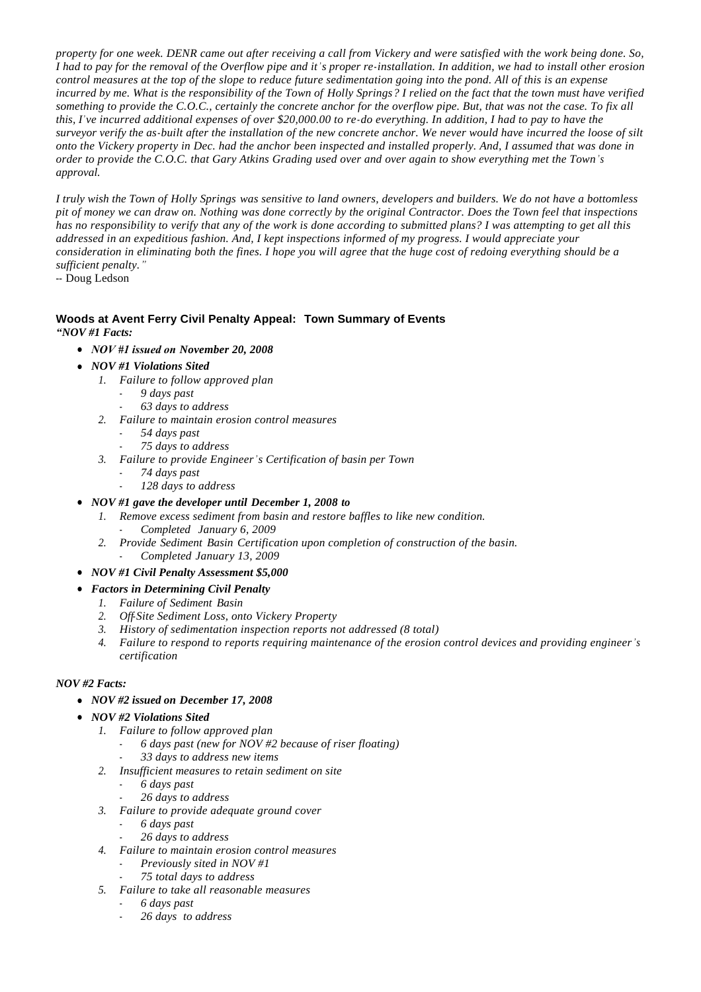*property for one week. DENR came out after receiving a call from Vickery and were satisfied with the work being done. So, I had to pay for the removal of the Overflow pipe and it's proper re-installation. In addition, we had to install other erosion control measures at the top of the slope to reduce future sedimentation going into the pond. All of this is an expense incurred by me. What is the responsibility of the Town of Holly Springs? I relied on the fact that the town must have verified something to provide the C.O.C., certainly the concrete anchor for the overflow pipe. But, that was not the case. To fix all this, I've incurred additional expenses of over \$20,000.00 to re-do everything. In addition, I had to pay to have the surveyor verify the as-built after the installation of the new concrete anchor. We never would have incurred the loose of silt onto the Vickery property in Dec. had the anchor been inspected and installed properly. And, I assumed that was done in order to provide the C.O.C. that Gary Atkins Grading used over and over again to show everything met the Town's approval.*

*I truly wish the Town of Holly Springs was sensitive to land owners, developers and builders. We do not have a bottomless pit of money we can draw on. Nothing was done correctly by the original Contractor. Does the Town feel that inspections has no responsibility to verify that any of the work is done according to submitted plans? I was attempting to get all this addressed in an expeditious fashion. And, I kept inspections informed of my progress. I would appreciate your consideration in eliminating both the fines. I hope you will agree that the huge cost of redoing everything should be a sufficient penalty."*

-- Doug Ledson

#### **Woods at Avent Ferry Civil Penalty Appeal: Town Summary of Events** *"NOV #1 Facts:*

- *NOV #1 issued on November 20, 2008*
- *NOV #1 Violations Sited* 
	- *1. Failure to follow approved plan*
		- *9 days past*
		- *63 days to address*
	- *2. Failure to maintain erosion control measures*
		- *54 days past*
		- *75 days to address*
	- *3. Failure to provide Engineer's Certification of basin per Town* 
		- *74 days past*
		- *128 days to address*
- *NOV #1 gave the developer until December 1, 2008 to* 
	- *1. Remove excess sediment from basin and restore baffles to like new condition.*
		- *Completed January 6, 2009*
	- *2. Provide Sediment Basin Certification upon completion of construction of the basin.*  - *Completed January 13, 2009*
- *NOV #1 Civil Penalty Assessment \$5,000*
- *Factors in Determining Civil Penalty* 
	- *1. Failure of Sediment Basin*
	- *2. Off-Site Sediment Loss, onto Vickery Property*
	- *3. History of sedimentation inspection reports not addressed (8 total)*
	- *4. Failure to respond to reports requiring maintenance of the erosion control devices and providing engineer's certification*

### *NOV #2 Facts:*

- *NOV #2 issued on December 17, 2008*
- *NOV #2 Violations Sited* 
	- *1. Failure to follow approved plan* 
		- *6 days past (new for NOV #2 because of riser floating)*
		- *33 days to address new items*
	- *2. Insufficient measures to retain sediment on site* 
		- *6 days past*
		- *26 days to address*
	- *3. Failure to provide adequate ground cover* 
		- *6 days past*
		- *26 days to address*
	- *4. Failure to maintain erosion control measures* 
		- *Previously sited in NOV #1*
		- *75 total days to address*
	- *5. Failure to take all reasonable measures*
		- *6 days past*
		- *26 days to address*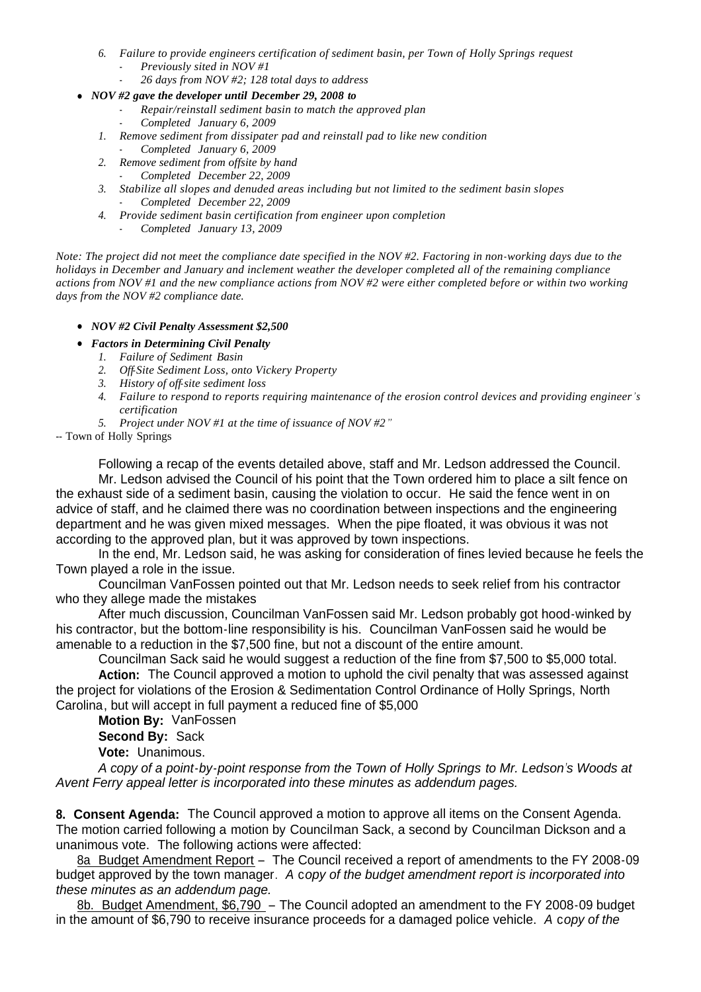- *6. Failure to provide engineers certification of sediment basin, per Town of Holly Springs request* - *Previously sited in NOV #1*
	- *26 days from NOV #2; 128 total days to address*
- *NOV #2 gave the developer until December 29, 2008 to*
	- *Repair/reinstall sediment basin to match the approved plan*
	- *Completed January 6, 2009*
	- *1. Remove sediment from dissipater pad and reinstall pad to like new condition*
		- *Completed January 6, 2009*
	- *2. Remove sediment from offsite by hand*
		- *Completed December 22, 2009*
	- *3. Stabilize all slopes and denuded areas including but not limited to the sediment basin slopes* - *Completed December 22, 2009*
	- *4. Provide sediment basin certification from engineer upon completion*
		- *Completed January 13, 2009*

*Note: The project did not meet the compliance date specified in the NOV #2. Factoring in non-working days due to the holidays in December and January and inclement weather the developer completed all of the remaining compliance actions from NOV #1 and the new compliance actions from NOV #2 were either completed before or within two working days from the NOV #2 compliance date.*

- *NOV #2 Civil Penalty Assessment \$2,500*
- *Factors in Determining Civil Penalty* 
	- *1. Failure of Sediment Basin*
	- *2. Off-Site Sediment Loss, onto Vickery Property*
	- *3. History of off-site sediment loss*
	- *4. Failure to respond to reports requiring maintenance of the erosion control devices and providing engineer's certification*
	- *5. Project under NOV #1 at the time of issuance of NOV #2"*

-- Town of Holly Springs

 Following a recap of the events detailed above, staff and Mr. Ledson addressed the Council. Mr. Ledson advised the Council of his point that the Town ordered him to place a silt fence on the exhaust side of a sediment basin, causing the violation to occur. He said the fence went in on advice of staff, and he claimed there was no coordination between inspections and the engineering department and he was given mixed messages. When the pipe floated, it was obvious it was not according to the approved plan, but it was approved by town inspections.

 In the end, Mr. Ledson said, he was asking for consideration of fines levied because he feels the Town played a role in the issue.

 Councilman VanFossen pointed out that Mr. Ledson needs to seek relief from his contractor who they allege made the mistakes

 After much discussion, Councilman VanFossen said Mr. Ledson probably got hood-winked by his contractor, but the bottom-line responsibility is his. Councilman VanFossen said he would be amenable to a reduction in the \$7,500 fine, but not a discount of the entire amount.

Councilman Sack said he would suggest a reduction of the fine from \$7,500 to \$5,000 total.

**Action:** The Council approved a motion to uphold the civil penalty that was assessed against the project for violations of the Erosion & Sedimentation Control Ordinance of Holly Springs, North Carolina, but will accept in full payment a reduced fine of \$5,000

**Motion By:** VanFossen

**Second By:** Sack

**Vote:** Unanimous.

*A copy of a point-by-point response from the Town of Holly Springs to Mr. Ledson's Woods at Avent Ferry appeal letter is incorporated into these minutes as addendum pages.*

**8. Consent Agenda:** The Council approved a motion to approve all items on the Consent Agenda. The motion carried following a motion by Councilman Sack, a second by Councilman Dickson and a unanimous vote. The following actions were affected:

8a Budget Amendment Report - The Council received a report of amendments to the FY 2008-09 budget approved by the town manager. *A* c*opy of the budget amendment report is incorporated into these minutes as an addendum page.*

8b. Budget Amendment, \$6,790 – The Council adopted an amendment to the FY 2008-09 budget in the amount of \$6,790 to receive insurance proceeds for a damaged police vehicle. *A* c*opy of the*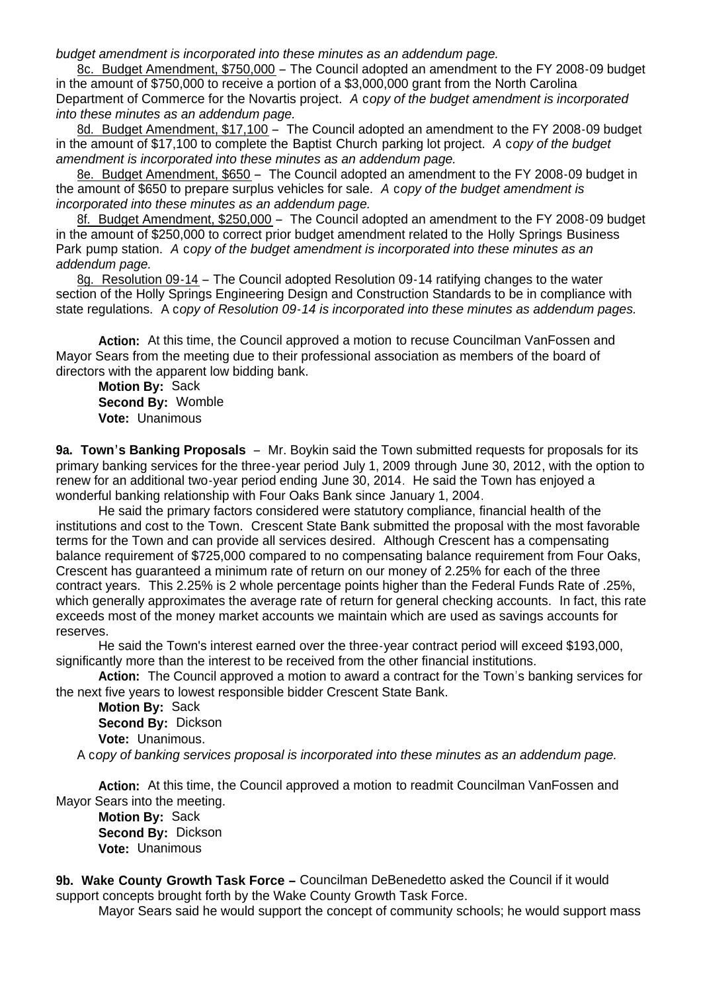*budget amendment is incorporated into these minutes as an addendum page.*

8c. Budget Amendment, \$750,000 – The Council adopted an amendment to the FY 2008-09 budget in the amount of \$750,000 to receive a portion of a \$3,000,000 grant from the North Carolina Department of Commerce for the Novartis project. *A* c*opy of the budget amendment is incorporated into these minutes as an addendum page.*

8d. Budget Amendment, \$17,100 – The Council adopted an amendment to the FY 2008-09 budget in the amount of \$17,100 to complete the Baptist Church parking lot project. *A* c*opy of the budget amendment is incorporated into these minutes as an addendum page.*

8e. Budget Amendment, \$650 – The Council adopted an amendment to the FY 2008-09 budget in the amount of \$650 to prepare surplus vehicles for sale. *A* c*opy of the budget amendment is incorporated into these minutes as an addendum page.*

8f. Budget Amendment, \$250,000 – The Council adopted an amendment to the FY 2008-09 budget in the amount of \$250,000 to correct prior budget amendment related to the Holly Springs Business Park pump station. *A* c*opy of the budget amendment is incorporated into these minutes as an addendum page.*

8g. Resolution 09-14 – The Council adopted Resolution 09-14 ratifying changes to the water section of the Holly Springs Engineering Design and Construction Standards to be in compliance with state regulations. A c*opy of Resolution 09-14 is incorporated into these minutes as addendum pages.*

**Action:** At this time, the Council approved a motion to recuse Councilman VanFossen and Mayor Sears from the meeting due to their professional association as members of the board of directors with the apparent low bidding bank.

**Motion By:** Sack **Second By:** Womble **Vote:** Unanimous

**9a. Town's Banking Proposals** – Mr. Boykin said the Town submitted requests for proposals for its primary banking services for the three-year period July 1, 2009 through June 30, 2012, with the option to renew for an additional two-year period ending June 30, 2014. He said the Town has enjoyed a wonderful banking relationship with Four Oaks Bank since January 1, 2004.

He said the primary factors considered were statutory compliance, financial health of the institutions and cost to the Town. Crescent State Bank submitted the proposal with the most favorable terms for the Town and can provide all services desired. Although Crescent has a compensating balance requirement of \$725,000 compared to no compensating balance requirement from Four Oaks, Crescent has guaranteed a minimum rate of return on our money of 2.25% for each of the three contract years. This 2.25% is 2 whole percentage points higher than the Federal Funds Rate of .25%, which generally approximates the average rate of return for general checking accounts. In fact, this rate exceeds most of the money market accounts we maintain which are used as savings accounts for reserves.

He said the Town's interest earned over the three-year contract period will exceed \$193,000, significantly more than the interest to be received from the other financial institutions.

**Action:** The Council approved a motion to award a contract for the Town's banking services for the next five years to lowest responsible bidder Crescent State Bank.

**Motion By:** Sack **Second By:** Dickson **Vote:** Unanimous.

A c*opy of banking services proposal is incorporated into these minutes as an addendum page.*

**Action:** At this time, the Council approved a motion to readmit Councilman VanFossen and Mayor Sears into the meeting. **Motion By:** Sack

**Second By:** Dickson **Vote:** Unanimous

**9b. Wake County Growth Task Force –** Councilman DeBenedetto asked the Council if it would support concepts brought forth by the Wake County Growth Task Force.

Mayor Sears said he would support the concept of community schools; he would support mass